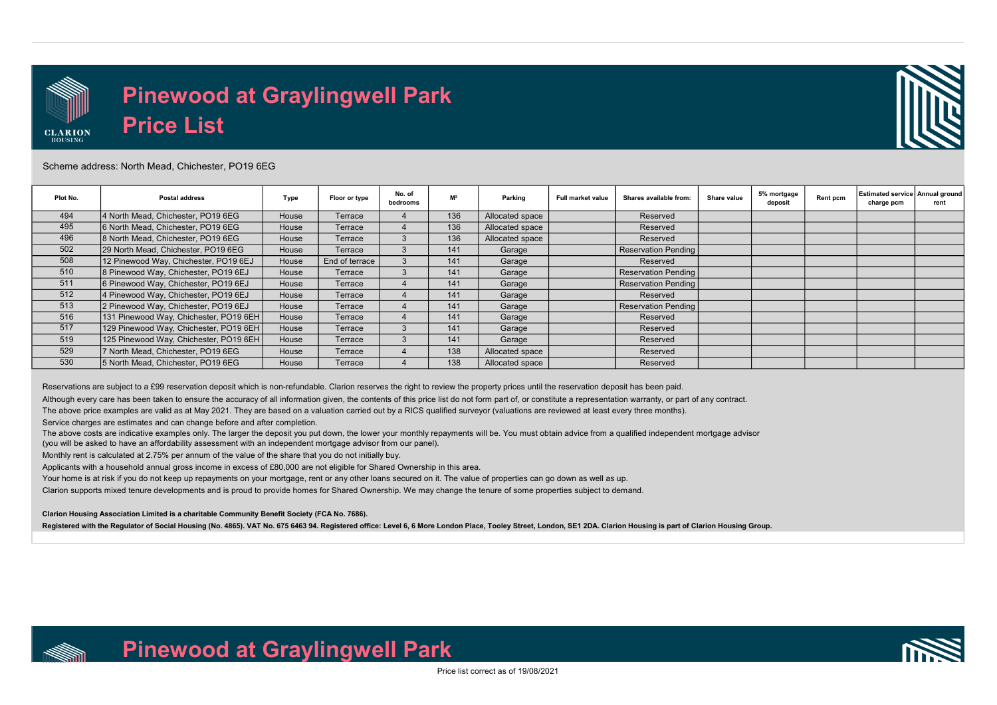

## Pinewood at Graylingwell Park Price List



## Scheme address: North Mead, Chichester, PO19 6EG

| Plot No. | <b>Postal address</b>                  | Type  | Floor or type  | No. of<br>bedrooms | M <sup>2</sup> | Parking         | Full market value | Shares available from: | Share value | 5% mortgage<br>deposit | Rent pcm | <b>Estimated service Annual ground</b><br>charge pcm | rent |
|----------|----------------------------------------|-------|----------------|--------------------|----------------|-----------------|-------------------|------------------------|-------------|------------------------|----------|------------------------------------------------------|------|
| 494      | 4 North Mead, Chichester, PO19 6EG     | House | Terrace        |                    | 136            | Allocated space |                   | Reserved               |             |                        |          |                                                      |      |
| 495      | 6 North Mead, Chichester, PO19 6EG     | House | Terrace        |                    | 136            | Allocated space |                   | Reserved               |             |                        |          |                                                      |      |
| 496      | 8 North Mead, Chichester, PO19 6EG     | House | Terrace        |                    | 136            | Allocated space |                   | Reserved               |             |                        |          |                                                      |      |
| 502      | 29 North Mead, Chichester, PO19 6EG    | House | Terrace        |                    | 141            | Garage          |                   | Reservation Pending    |             |                        |          |                                                      |      |
| 508      | 12 Pinewood Way, Chichester, PO19 6EJ  | House | End of terrace |                    | 141            | Garage          |                   | Reserved               |             |                        |          |                                                      |      |
| 510      | 8 Pinewood Way, Chichester, PO19 6EJ   | House | Terrace        | 3                  | 141            | Garage          |                   | Reservation Pending    |             |                        |          |                                                      |      |
| 511      | 6 Pinewood Way, Chichester, PO19 6EJ   | House | Terrace        |                    | 141            | Garage          |                   | Reservation Pending    |             |                        |          |                                                      |      |
| 512      | 4 Pinewood Way, Chichester, PO19 6EJ   | House | Terrace        |                    | 141            | Garage          |                   | Reserved               |             |                        |          |                                                      |      |
| 513      | 2 Pinewood Way, Chichester, PO19 6EJ   | House | Terrace        |                    | 141            | Garage          |                   | Reservation Pending    |             |                        |          |                                                      |      |
| 516      | 131 Pinewood Way, Chichester, PO19 6EH | House | Terrace        |                    | 141            | Garage          |                   | Reserved               |             |                        |          |                                                      |      |
| 517      | 129 Pinewood Way, Chichester, PO19 6EH | House | Terrace        |                    | 141            | Garage          |                   | Reserved               |             |                        |          |                                                      |      |
| 519      | 125 Pinewood Way, Chichester, PO19 6EH | House | Terrace        |                    | 141            | Garage          |                   | Reserved               |             |                        |          |                                                      |      |
| 529      | 7 North Mead, Chichester, PO19 6EG     | House | Terrace        |                    | 138            | Allocated space |                   | Reserved               |             |                        |          |                                                      |      |
| 530      | 5 North Mead. Chichester. PO19 6EG     | House | Terrace        |                    | 138            | Allocated space |                   | Reserved               |             |                        |          |                                                      |      |

Reservations are subject to a £99 reservation deposit which is non-refundable. Clarion reserves the right to review the property prices until the reservation deposit has been paid.

Although every care has been taken to ensure the accuracy of all information given, the contents of this price list do not form part of, or constitute a representation warranty, or part of any contract.

The above price examples are valid as at May 2021. They are based on a valuation carried out by a RICS qualified surveyor (valuations are reviewed at least every three months).

Service charges are estimates and can change before and after completion.

The above costs are indicative examples only. The larger the deposit you put down, the lower your monthly repayments will be. You must obtain advice from a qualified independent mortgage advisor (you will be asked to have an affordability assessment with an independent mortgage advisor from our panel).

Monthly rent is calculated at 2.75% per annum of the value of the share that you do not initially buy.

Applicants with a household annual gross income in excess of £80,000 are not eligible for Shared Ownership in this area.

Your home is at risk if you do not keep up repayments on your mortgage, rent or any other loans secured on it. The value of properties can go down as well as up.

Clarion supports mixed tenure developments and is proud to provide homes for Shared Ownership. We may change the tenure of some properties subject to demand.

Clarion Housing Association Limited is a charitable Community Benefit Society (FCA No. 7686).

Registered with the Regulator of Social Housing (No. 4865). VAT No. 675 6463 94. Registered office: Level 6, 6 More London Place, Tooley Street, London, SE1 2DA. Clarion Housing is part of Clarion Housing Group.



Pinewood at Graylingwell Park